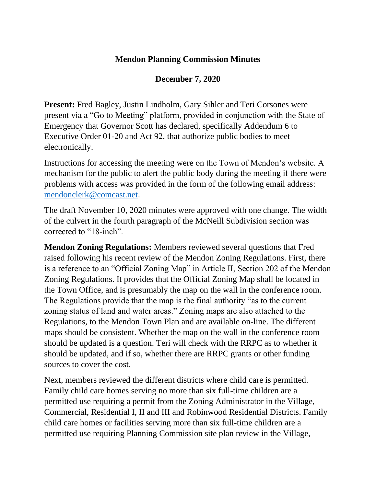## **Mendon Planning Commission Minutes**

## **December 7, 2020**

**Present:** Fred Bagley, Justin Lindholm, Gary Sihler and Teri Corsones were present via a "Go to Meeting" platform, provided in conjunction with the State of Emergency that Governor Scott has declared, specifically Addendum 6 to Executive Order 01-20 and Act 92, that authorize public bodies to meet electronically.

Instructions for accessing the meeting were on the Town of Mendon's website. A mechanism for the public to alert the public body during the meeting if there were problems with access was provided in the form of the following email address: [mendonclerk@comcast.net.](mailto:mendonclerk@comcast.net)

The draft November 10, 2020 minutes were approved with one change. The width of the culvert in the fourth paragraph of the McNeill Subdivision section was corrected to "18-inch".

**Mendon Zoning Regulations:** Members reviewed several questions that Fred raised following his recent review of the Mendon Zoning Regulations. First, there is a reference to an "Official Zoning Map" in Article II, Section 202 of the Mendon Zoning Regulations. It provides that the Official Zoning Map shall be located in the Town Office, and is presumably the map on the wall in the conference room. The Regulations provide that the map is the final authority "as to the current zoning status of land and water areas." Zoning maps are also attached to the Regulations, to the Mendon Town Plan and are available on-line. The different maps should be consistent. Whether the map on the wall in the conference room should be updated is a question. Teri will check with the RRPC as to whether it should be updated, and if so, whether there are RRPC grants or other funding sources to cover the cost.

Next, members reviewed the different districts where child care is permitted. Family child care homes serving no more than six full-time children are a permitted use requiring a permit from the Zoning Administrator in the Village, Commercial, Residential I, II and III and Robinwood Residential Districts. Family child care homes or facilities serving more than six full-time children are a permitted use requiring Planning Commission site plan review in the Village,